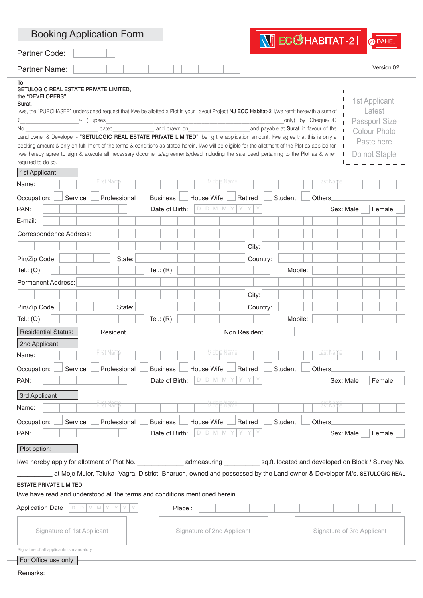| <b>Booking Application Form</b>                                                                                                                                                                                                                                                                                                                                                                                                                                                                                                                                                                                                                                                                                                |                  |                                   |                             |              | <b>WI</b> ECCHABITAT-2                                      | @DAHEJ                                                                                                                 |
|--------------------------------------------------------------------------------------------------------------------------------------------------------------------------------------------------------------------------------------------------------------------------------------------------------------------------------------------------------------------------------------------------------------------------------------------------------------------------------------------------------------------------------------------------------------------------------------------------------------------------------------------------------------------------------------------------------------------------------|------------------|-----------------------------------|-----------------------------|--------------|-------------------------------------------------------------|------------------------------------------------------------------------------------------------------------------------|
| Partner Code:                                                                                                                                                                                                                                                                                                                                                                                                                                                                                                                                                                                                                                                                                                                  |                  |                                   |                             |              |                                                             |                                                                                                                        |
| <b>Partner Name:</b>                                                                                                                                                                                                                                                                                                                                                                                                                                                                                                                                                                                                                                                                                                           |                  |                                   |                             |              |                                                             | Version 02                                                                                                             |
| To,<br>SETULOGIC REAL ESTATE PRIVATE LIMITED,<br>the "DEVELOPERS"<br>Surat.<br>I/we, the "PURCHASER" undersigned request that I/we be allotted a Plot in your Layout Project NJ ECO Habitat-2. I/we remit herewith a sum of<br>₹<br>/- (Rupees<br>No.<br>Land owner & Developer - "SETULOGIC REAL ESTATE PRIVATE LIMITED", being the application amount. I/we agree that this is only a<br>booking amount & only on fulfillment of the terms & conditions as stated herein, I/we will be eligible for the allotment of the Plot as applied for.<br>I/we hereby agree to sign & execute all necessary documents/agreements/deed including the sale deed pertaining to the Plot as & when<br>required to do so.<br>1st Applicant | dated            | and drawn on                      |                             |              | only) by Cheque/DD<br>and payable at Surat in favour of the | 1st Applicant<br>Latest<br><b>Passport Size</b><br><b>Colour Photo</b><br>Paste here<br>Do not Staple                  |
| Name:                                                                                                                                                                                                                                                                                                                                                                                                                                                                                                                                                                                                                                                                                                                          |                  |                                   |                             |              |                                                             |                                                                                                                        |
| Occupation:<br>Service<br>PAN:                                                                                                                                                                                                                                                                                                                                                                                                                                                                                                                                                                                                                                                                                                 | Professional     | <b>Business</b><br>Date of Birth: | House Wife<br>D<br>M M<br>D | Retired      | Student<br>Others                                           | Sex: Male<br>Female                                                                                                    |
| E-mail:                                                                                                                                                                                                                                                                                                                                                                                                                                                                                                                                                                                                                                                                                                                        |                  |                                   |                             |              |                                                             |                                                                                                                        |
| Correspondence Address:                                                                                                                                                                                                                                                                                                                                                                                                                                                                                                                                                                                                                                                                                                        |                  |                                   |                             |              |                                                             |                                                                                                                        |
|                                                                                                                                                                                                                                                                                                                                                                                                                                                                                                                                                                                                                                                                                                                                |                  |                                   |                             | City:        |                                                             |                                                                                                                        |
| Pin/Zip Code:                                                                                                                                                                                                                                                                                                                                                                                                                                                                                                                                                                                                                                                                                                                  | State:           |                                   |                             | Country:     |                                                             |                                                                                                                        |
| Tel.: $(O)$                                                                                                                                                                                                                                                                                                                                                                                                                                                                                                                                                                                                                                                                                                                    |                  | Tel.: $(R)$                       |                             |              | Mobile:                                                     |                                                                                                                        |
| Permanent Address:                                                                                                                                                                                                                                                                                                                                                                                                                                                                                                                                                                                                                                                                                                             |                  |                                   |                             |              |                                                             |                                                                                                                        |
|                                                                                                                                                                                                                                                                                                                                                                                                                                                                                                                                                                                                                                                                                                                                |                  |                                   |                             | City:        |                                                             |                                                                                                                        |
| Pin/Zip Code:                                                                                                                                                                                                                                                                                                                                                                                                                                                                                                                                                                                                                                                                                                                  | State:           |                                   |                             | Country:     |                                                             |                                                                                                                        |
| Tel.: $(O)$                                                                                                                                                                                                                                                                                                                                                                                                                                                                                                                                                                                                                                                                                                                    |                  | Tel.: $(R)$                       |                             |              | Mobile:                                                     |                                                                                                                        |
| <b>Residential Status:</b>                                                                                                                                                                                                                                                                                                                                                                                                                                                                                                                                                                                                                                                                                                     | Resident         |                                   |                             | Non Resident |                                                             |                                                                                                                        |
| 2nd Applicant                                                                                                                                                                                                                                                                                                                                                                                                                                                                                                                                                                                                                                                                                                                  |                  |                                   |                             |              |                                                             |                                                                                                                        |
| Name:                                                                                                                                                                                                                                                                                                                                                                                                                                                                                                                                                                                                                                                                                                                          | ist Nam          |                                   | Middle Nam                  |              | Jast Nan                                                    |                                                                                                                        |
| Occupation:<br>Service<br>PAN:<br>3rd Applicant                                                                                                                                                                                                                                                                                                                                                                                                                                                                                                                                                                                                                                                                                | Professional     | <b>Business</b><br>Date of Birth: | House Wife<br>D<br>$D$ M M  | Retired      | Student<br>Others                                           | Sex: Male<br>Female                                                                                                    |
| Name:                                                                                                                                                                                                                                                                                                                                                                                                                                                                                                                                                                                                                                                                                                                          | <b>Hirst Nam</b> |                                   | Middle Nam                  |              | Last Narne                                                  |                                                                                                                        |
| Occupation:<br>Service                                                                                                                                                                                                                                                                                                                                                                                                                                                                                                                                                                                                                                                                                                         | Professional     | <b>Business</b>                   | House Wife                  | Retired      | Student<br>Others                                           |                                                                                                                        |
| PAN:                                                                                                                                                                                                                                                                                                                                                                                                                                                                                                                                                                                                                                                                                                                           |                  | Date of Birth:                    | $D$ M M<br>D                |              |                                                             | Sex: Male<br>Female                                                                                                    |
| Plot option:                                                                                                                                                                                                                                                                                                                                                                                                                                                                                                                                                                                                                                                                                                                   |                  |                                   |                             |              |                                                             |                                                                                                                        |
|                                                                                                                                                                                                                                                                                                                                                                                                                                                                                                                                                                                                                                                                                                                                |                  |                                   |                             |              |                                                             |                                                                                                                        |
|                                                                                                                                                                                                                                                                                                                                                                                                                                                                                                                                                                                                                                                                                                                                |                  |                                   |                             |              |                                                             | at Moje Muler, Taluka- Vagra, District- Bharuch, owned and possessed by the Land owner & Developer M/s. SETULOGIC REAL |
| <b>ESTATE PRIVATE LIMITED.</b><br>I/we have read and understood all the terms and conditions mentioned herein.                                                                                                                                                                                                                                                                                                                                                                                                                                                                                                                                                                                                                 |                  |                                   |                             |              |                                                             |                                                                                                                        |
| <b>Application Date</b><br>$D$ $D$ $M$ $M$ $Y$                                                                                                                                                                                                                                                                                                                                                                                                                                                                                                                                                                                                                                                                                 | Y                | Place:                            |                             |              |                                                             |                                                                                                                        |
| Signature of 1st Applicant                                                                                                                                                                                                                                                                                                                                                                                                                                                                                                                                                                                                                                                                                                     |                  |                                   | Signature of 2nd Applicant  |              |                                                             | Signature of 3rd Applicant                                                                                             |
| Signature of all applicants is mandatory.                                                                                                                                                                                                                                                                                                                                                                                                                                                                                                                                                                                                                                                                                      |                  |                                   |                             |              |                                                             |                                                                                                                        |
| For Office use only                                                                                                                                                                                                                                                                                                                                                                                                                                                                                                                                                                                                                                                                                                            |                  |                                   |                             |              |                                                             |                                                                                                                        |
| Remarks:                                                                                                                                                                                                                                                                                                                                                                                                                                                                                                                                                                                                                                                                                                                       |                  |                                   |                             |              |                                                             |                                                                                                                        |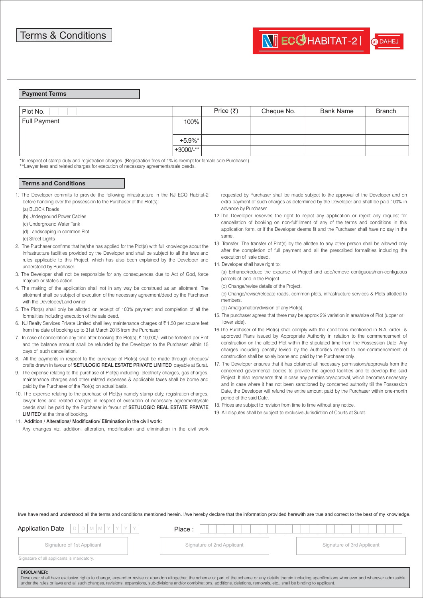## **Payment Terms**

| Plot No.     |             | Price $(\bar{\tau})$ | Cheque No. | <b>Bank Name</b> | <b>Branch</b> |
|--------------|-------------|----------------------|------------|------------------|---------------|
| Full Payment | 100%        |                      |            |                  |               |
|              | $+5.9\%$ *  |                      |            |                  |               |
|              | $+3000/-**$ |                      |            |                  |               |

\*In respect of stamp duty and registration charges. (Registration fees of 1% is exempt for female sole Purchaser.)

\*\*Lawyer fees and related charges for execution of necessary agreements/sale deeds.

## **Terms and Conditions**

- 1. The Developer commits to provide the following infrastructure in the NJ ECO Habitat-2 before handing over the possession to the Purchaser of the Plot(s):
	- (a) BLOCK Roads
	- (b) Underground Power Cables
	- (c) Underground Water Tank
	- (d) Landscaping in common Plot
	- (e) Street Lights
- 2. The Purchaser confirms that he/she has applied for the Plot(s) with full knowledge about the Infrastructure facilities provided by the Developer and shall be subject to all the laws and rules applicable to this Project, which has also been explained by the Developer and understood by Purchaser.
- 3. The Developer shall not be responsible for any consequences due to Act of God, force majeure or state's action.
- 4. The making of the application shall not in any way be construed as an allotment. The allotment shall be subject of execution of the necessary agreement/deed by the Purchaser with the Developer/Land owner.
- 5. The Plot(s) shall only be allotted on receipt of 100% payment and completion of all the formalities including execution of the sale deed.
- 6. NJ Realty Services Private Limited shall levy maintenance charges of  $\bar{\tau}$  1.50 per square feet from the date of booking up to 31st March 2015 from the Purchaser.
- 7. In case of cancellation any time after booking the Plot(s),  $\bar{\tau}$  10,000/- will be forfeited per Plot and the balance amount shall be refunded by the Developer to the Purchaser within 15 days of such cancellation.
- 8. All the payments in respect to the purchase of Plot(s) shall be made through cheques/ drafts drawn in favour of 'SETULOGIC REAL ESTATE PRIVATE LIMITED' payable at Surat.
- 9. The expense relating to the purchase of Plot(s) including electricity charges, gas charges, maintenance charges and other related expenses & applicable taxes shall be borne and paid by the Purchaser of the Plot(s) on actual basis.
- 10. The expense relating to the purchase of Plot(s) namely stamp duty, registration charges, lawyer fees and related charges in respect of execution of necessary agreements/sale deeds shall be paid by the Purchaser in favour of SETULOGIC REAL ESTATE PRIVATE LIMITED' at the time of booking.

## 11. Addition / Alterations/ Modification/ Elimination in the civil work:

Any changes viz. addition, alteration, modification and elimination in the civil work

- requested by Purchaser shall be made subject to the approval of the Developer and on extra payment of such charges as determined by the Developer and shall be paid 100% in advance by Purchaser.
- 12.The Developer reserves the right to reject any application or reject any request for cancellation of booking on non-fulfillment of any of the terms and conditions in this application form, or if the Developer deems fit and the Purchaser shall have no say in the same.
- 13. Transfer: The transfer of Plot(s) by the allottee to any other person shall be allowed only after the completion of full payment and all the prescribed formalities including the execution of sale deed.
- 14. Developer shall have right to:

(a) Enhance/reduce the expanse of Project and add/remove contiguous/non-contiguous parcels of land in the Project.

(b) Change/revise details of the Project.

(c) Change/revise/relocate roads, common plots, infrastructure services & Plots allotted to members.

(d) Amalgamation/division of any Plot(s).

- 15. The purchaser agrees that there may be approx 2% variation in area/size of Plot (upper or lower side).
- 16.The Purchaser of the Plot(s) shall comply with the conditions mentioned in N.A. order & approved Plans issued by Appropriate Authority in relation to the commencement of construction on the alloted Plot within the stipulated time from the Possession Date. Any charges including penalty levied by the Authorities related to non-commencement of construction shall be solely borne and paid by the Purchaser only.
- 17. The Developer ensures that it has obtained all necessary permissions/approvals from the concerned govermental bodies to provide the agreed facilities and to develop the said Project. It also represents that in case any permission/approval, which becomes necessary and in case where it has not been sanctioned by concerned authority till the Possession Date, the Developer will refund the entire amount paid by the Purchaser within one-month period of the said Date.
- 18. Prices are subject to revision from time to time without any notice.
- 19. All disputes shall be subject to exclusive Jurisdiction of Courts at Surat.

I/we have read and understood all the terms and conditions mentioned herein. I/we hereby declare that the information provided herewith are true and correct to the best of my knowledge.

| $DIDIMIMIYIYI$<br>Application Date                                                                                                                                                                                                                                                                                                                                                                               | Place:                     |  |                            |  |  |  |
|------------------------------------------------------------------------------------------------------------------------------------------------------------------------------------------------------------------------------------------------------------------------------------------------------------------------------------------------------------------------------------------------------------------|----------------------------|--|----------------------------|--|--|--|
| Signature of 1st Applicant                                                                                                                                                                                                                                                                                                                                                                                       | Signature of 2nd Applicant |  | Signature of 3rd Applicant |  |  |  |
| Signature of all applicants is mandatory.                                                                                                                                                                                                                                                                                                                                                                        |                            |  |                            |  |  |  |
| <b>DISCLAIMER:</b><br>Developer shall have exclusive rights to change, expand or revise or abandon altogether, the scheme or part of the scheme or any details therein including specifications whenever and wherever admissible<br>under the rules or laws and all such changes, revisions, expansions, sub-divisions and/or combinations, additions, deletions, removals, etc., shall be binding to applicant. |                            |  |                            |  |  |  |